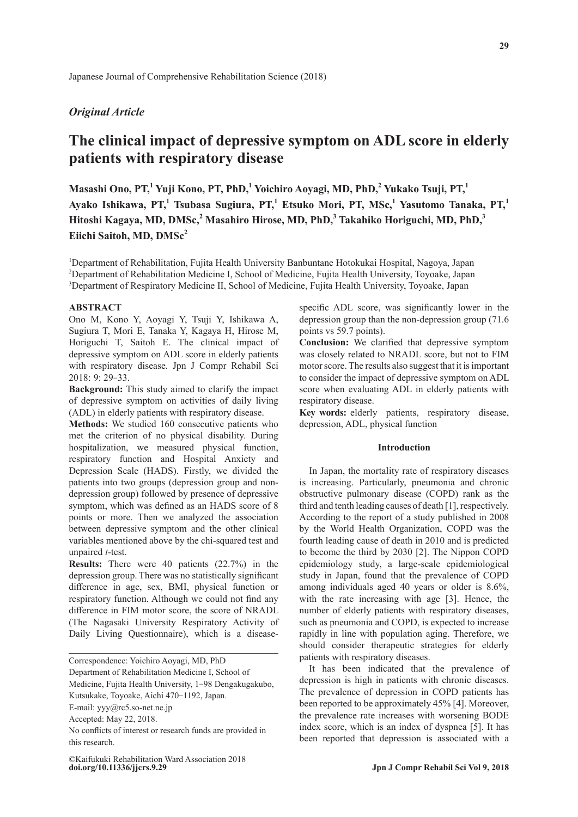## *Original Article*

# **The clinical impact of depressive symptom on ADL score in elderly patients with respiratory disease**

**Masashi Ono, PT,<sup>1</sup> Yuji Kono, PT, PhD,<sup>1</sup> Yoichiro Aoyagi, MD, PhD,<sup>2</sup> Yukako Tsuji, PT,1 Ayako Ishikawa, PT,<sup>1</sup> Tsubasa Sugiura, PT,<sup>1</sup> Etsuko Mori, PT, MSc,<sup>1</sup> Yasutomo Tanaka, PT,<sup>1</sup>** Hitoshi Kagaya, MD, DMSc,<sup>2</sup> Masahiro Hirose, MD, PhD,<sup>3</sup> Takahiko Horiguchi, MD, PhD,<sup>3</sup> Eiichi Saitoh, MD, DMSc<sup>2</sup>

<sup>1</sup>Department of Rehabilitation, Fujita Health University Banbuntane Hotokukai Hospital, Nagoya, Japan <sup>2</sup>Department of Rehabilitation Medicine I, School of Medicine, Fujita Health University, Toyoake, Japan <sup>3</sup>Department of Respiratory Medicine II, School of Medicine, Fujita Health University, Toyoake, Japan

#### **ABSTRACT**

Ono M, Kono Y, Aoyagi Y, Tsuji Y, Ishikawa A, Sugiura T, Mori E, Tanaka Y, Kagaya H, Hirose M, Horiguchi T, Saitoh E. The clinical impact of depressive symptom on ADL score in elderly patients with respiratory disease. Jpn J Compr Rehabil Sci 2018: 9: 29-33.

**Background:** This study aimed to clarify the impact of depressive symptom on activities of daily living (ADL) in elderly patients with respiratory disease.

**Methods:** We studied 160 consecutive patients who met the criterion of no physical disability. During hospitalization, we measured physical function, respiratory function and Hospital Anxiety and Depression Scale (HADS). Firstly, we divided the patients into two groups (depression group and nondepression group) followed by presence of depressive symptom, which was defined as an HADS score of 8 points or more. Then we analyzed the association between depressive symptom and the other clinical variables mentioned above by the chi-squared test and unpaired *t*-test.

**Results:** There were 40 patients (22.7%) in the depression group. There was no statistically significant difference in age, sex, BMI, physical function or respiratory function. Although we could not find any difference in FIM motor score, the score of NRADL (The Nagasaki University Respiratory Activity of Daily Living Questionnaire), which is a diseasespecific ADL score, was significantly lower in the depression group than the non-depression group (71.6 points vs 59.7 points).

**Conclusion:** We clarified that depressive symptom was closely related to NRADL score, but not to FIM motor score. The results also suggest that it is important to consider the impact of depressive symptom on ADL score when evaluating ADL in elderly patients with respiratory disease.

**Key words:** elderly patients, respiratory disease, depression, ADL, physical function

## **Introduction**

In Japan, the mortality rate of respiratory diseases is increasing. Particularly, pneumonia and chronic obstructive pulmonary disease (COPD) rank as the third and tenth leading causes of death [1], respectively. According to the report of a study published in 2008 by the World Health Organization, COPD was the fourth leading cause of death in 2010 and is predicted to become the third by 2030 [2]. The Nippon COPD epidemiology study, a large-scale epidemiological study in Japan, found that the prevalence of COPD among individuals aged 40 years or older is 8.6%, with the rate increasing with age [3]. Hence, the number of elderly patients with respiratory diseases, such as pneumonia and COPD, is expected to increase rapidly in line with population aging. Therefore, we should consider therapeutic strategies for elderly patients with respiratory diseases.

It has been indicated that the prevalence of depression is high in patients with chronic diseases. The prevalence of depression in COPD patients has been reported to be approximately 45% [4]. Moreover, the prevalence rate increases with worsening BODE index score, which is an index of dyspnea [5]. It has been reported that depression is associated with a

Correspondence: Yoichiro Aoyagi, MD, PhD Department of Rehabilitation Medicine I, School of Medicine, Fujita Health University, 1-98 Dengakugakubo, Kutsukake, Toyoake, Aichi 470-1192, Japan. E-mail: yyy@rc5.so-net.ne.jp Accepted: May 22, 2018. No conflicts of interest or research funds are provided in this research.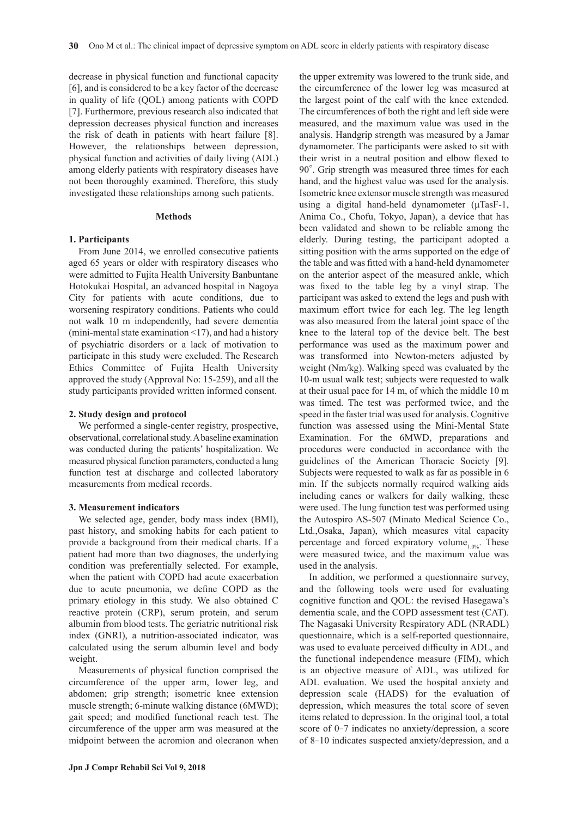decrease in physical function and functional capacity [6], and is considered to be a key factor of the decrease in quality of life (QOL) among patients with COPD [7]. Furthermore, previous research also indicated that depression decreases physical function and increases the risk of death in patients with heart failure [8]. However, the relationships between depression, physical function and activities of daily living (ADL) among elderly patients with respiratory diseases have not been thoroughly examined. Therefore, this study investigated these relationships among such patients.

## **Methods**

## **1. Participants**

From June 2014, we enrolled consecutive patients aged 65 years or older with respiratory diseases who were admitted to Fujita Health University Banbuntane Hotokukai Hospital, an advanced hospital in Nagoya City for patients with acute conditions, due to worsening respiratory conditions. Patients who could not walk 10 m independently, had severe dementia (mini-mental state examination <17), and had a history of psychiatric disorders or a lack of motivation to participate in this study were excluded. The Research Ethics Committee of Fujita Health University approved the study (Approval No: 15-259), and all the study participants provided written informed consent.

## **2. Study design and protocol**

We performed a single-center registry, prospective, observational, correlational study. A baseline examination was conducted during the patients' hospitalization. We measured physical function parameters, conducted a lung function test at discharge and collected laboratory measurements from medical records.

#### **3. Measurement indicators**

We selected age, gender, body mass index (BMI), past history, and smoking habits for each patient to provide a background from their medical charts. If a patient had more than two diagnoses, the underlying condition was preferentially selected. For example, when the patient with COPD had acute exacerbation due to acute pneumonia, we define COPD as the primary etiology in this study. We also obtained C reactive protein (CRP), serum protein, and serum albumin from blood tests. The geriatric nutritional risk index (GNRI), a nutrition-associated indicator, was calculated using the serum albumin level and body weight.

Measurements of physical function comprised the circumference of the upper arm, lower leg, and abdomen; grip strength; isometric knee extension muscle strength; 6-minute walking distance (6MWD); gait speed; and modified functional reach test. The circumference of the upper arm was measured at the midpoint between the acromion and olecranon when

the upper extremity was lowered to the trunk side, and the circumference of the lower leg was measured at the largest point of the calf with the knee extended. The circumferences of both the right and left side were measured, and the maximum value was used in the analysis. Handgrip strength was measured by a Jamar dynamometer. The participants were asked to sit with their wrist in a neutral position and elbow flexed to 90°. Grip strength was measured three times for each hand, and the highest value was used for the analysis. Isometric knee extensor muscle strength was measured using a digital hand-held dynamometer (μTasF-1, Anima Co., Chofu, Tokyo, Japan), a device that has been validated and shown to be reliable among the elderly. During testing, the participant adopted a sitting position with the arms supported on the edge of the table and was fitted with a hand-held dynamometer on the anterior aspect of the measured ankle, which was fixed to the table leg by a vinyl strap. The participant was asked to extend the legs and push with maximum effort twice for each leg. The leg length was also measured from the lateral joint space of the knee to the lateral top of the device belt. The best performance was used as the maximum power and was transformed into Newton-meters adjusted by weight (Nm/kg). Walking speed was evaluated by the 10-m usual walk test; subjects were requested to walk at their usual pace for 14 m, of which the middle 10 m was timed. The test was performed twice, and the speed in the faster trial was used for analysis. Cognitive function was assessed using the Mini-Mental State Examination. For the 6MWD, preparations and procedures were conducted in accordance with the guidelines of the American Thoracic Society [9]. Subjects were requested to walk as far as possible in 6 min. If the subjects normally required walking aids including canes or walkers for daily walking, these were used. The lung function test was performed using the Autospiro AS-507 (Minato Medical Science Co., Ltd.,Osaka, Japan), which measures vital capacity percentage and forced expiratory volume<sub>1.0%</sub>. These were measured twice, and the maximum value was used in the analysis.

In addition, we performed a questionnaire survey, and the following tools were used for evaluating cognitive function and QOL: the revised Hasegawa's dementia scale, and the COPD assessment test (CAT). The Nagasaki University Respiratory ADL (NRADL) questionnaire, which is a self-reported questionnaire, was used to evaluate perceived difficulty in ADL, and the functional independence measure (FIM), which is an objective measure of ADL, was utilized for ADL evaluation. We used the hospital anxiety and depression scale (HADS) for the evaluation of depression, which measures the total score of seven items related to depression. In the original tool, a total score of 0-7 indicates no anxiety/depression, a score of 8-10 indicates suspected anxiety/depression, and a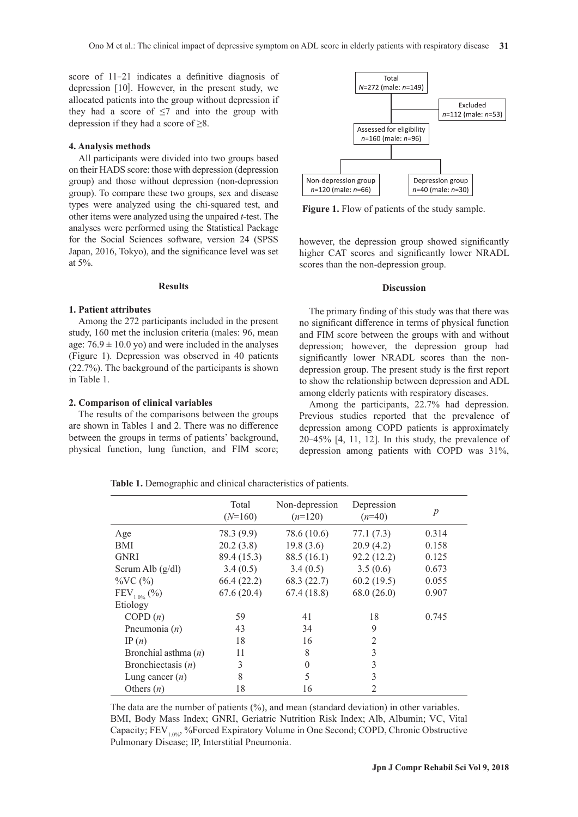score of 11-21 indicates a definitive diagnosis of depression [10]. However, in the present study, we allocated patients into the group without depression if they had a score of  $\leq$ 7 and into the group with depression if they had a score of  $\geq 8$ .

## **4. Analysis methods**

All participants were divided into two groups based on their HADS score: those with depression (depression group) and those without depression (non-depression group). To compare these two groups, sex and disease types were analyzed using the chi-squared test, and other items were analyzed using the unpaired *t*-test. The analyses were performed using the Statistical Package for the Social Sciences software, version 24 (SPSS Japan, 2016, Tokyo), and the significance level was set at 5%.

#### **Results**

#### **1. Patient attributes**

Among the 272 participants included in the present study, 160 met the inclusion criteria (males: 96, mean age:  $76.9 \pm 10.0$  yo) and were included in the analyses (Figure 1). Depression was observed in 40 patients (22.7%). The background of the participants is shown in Table 1.

#### **2. Comparison of clinical variables**

The results of the comparisons between the groups are shown in Tables 1 and 2. There was no difference between the groups in terms of patients' background, physical function, lung function, and FIM score;



**Figure 1.** Flow of patients of the study sample.

however, the depression group showed significantly higher CAT scores and significantly lower NRADL scores than the non-depression group.

#### **Discussion**

The primary finding of this study was that there was no significant difference in terms of physical function and FIM score between the groups with and without depression; however, the depression group had significantly lower NRADL scores than the nondepression group. The present study is the first report to show the relationship between depression and ADL among elderly patients with respiratory diseases.

Among the participants, 22.7% had depression. Previous studies reported that the prevalence of depression among COPD patients is approximately 20-45% [4, 11, 12]. In this study, the prevalence of depression among patients with COPD was 31%,

**Table 1.** Demographic and clinical characteristics of patients.

|                        | Total<br>$(N=160)$ | Non-depression<br>$(n=120)$ | Depression<br>$(n=40)$ | $\boldsymbol{p}$ |
|------------------------|--------------------|-----------------------------|------------------------|------------------|
| Age                    | 78.3 (9.9)         | 78.6 (10.6)                 | 77.1(7.3)              | 0.314            |
| BMI                    | 20.2(3.8)          | 19.8(3.6)                   | 20.9(4.2)              | 0.158            |
| <b>GNRI</b>            | 89.4 (15.3)        | 88.5(16.1)                  | 92.2(12.2)             | 0.125            |
| Serum Alb $(g/dl)$     | 3.4(0.5)           | 3.4(0.5)                    | 3.5(0.6)               | 0.673            |
| $\%VC$ (%)             | 66.4(22.2)         | 68.3 (22.7)                 | 60.2(19.5)             | 0.055            |
| $FEV_{1.0\%}$ (%)      | 67.6(20.4)         | 67.4(18.8)                  | 68.0(26.0)             | 0.907            |
| Etiology               |                    |                             |                        |                  |
| COPD(n)                | 59                 | 41                          | 18                     | 0.745            |
| Pneumonia $(n)$        | 43                 | 34                          | 9                      |                  |
| IP $(n)$               | 18                 | 16                          | $\overline{2}$         |                  |
| Bronchial asthma $(n)$ | 11                 | 8                           | 3                      |                  |
| Bronchiectasis $(n)$   | 3                  | $\Omega$                    | 3                      |                  |
| Lung cancer $(n)$      | 8                  | 5                           | 3                      |                  |
| Others $(n)$           | 18                 | 16                          | 2                      |                  |

The data are the number of patients (%), and mean (standard deviation) in other variables. BMI, Body Mass Index; GNRI, Geriatric Nutrition Risk Index; Alb, Albumin; VC, Vital Capacity; FEV<sub>1.0%</sub>, %Forced Expiratory Volume in One Second; COPD, Chronic Obstructive Pulmonary Disease; IP, Interstitial Pneumonia.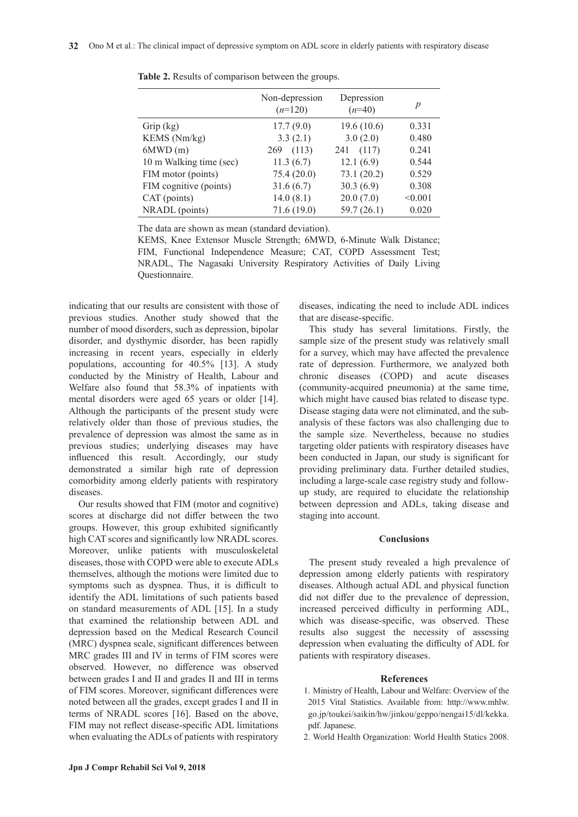|                         | Non-depression<br>$(n=120)$ | Depression<br>$(n=40)$ | p       |
|-------------------------|-----------------------------|------------------------|---------|
| Grip $(kg)$             | 17.7(9.0)                   | 19.6(10.6)             | 0.331   |
| KEMS (Nm/kg)            | 3.3(2.1)                    | 3.0(2.0)               | 0.480   |
| 6MWD(m)                 | (113)<br>269                | (117)<br>241           | 0.241   |
| 10 m Walking time (sec) | 11.3(6.7)                   | 12.1(6.9)              | 0.544   |
| FIM motor (points)      | 75.4(20.0)                  | 73.1(20.2)             | 0.529   |
| FIM cognitive (points)  | 31.6(6.7)                   | 30.3(6.9)              | 0.308   |
| CAT (points)            | 14.0(8.1)                   | 20.0(7.0)              | < 0.001 |
| NRADL (points)          | 71.6(19.0)                  | 59.7(26.1)             | 0.020   |

**Table 2.** Results of comparison between the groups.

The data are shown as mean (standard deviation).

KEMS, Knee Extensor Muscle Strength; 6MWD, 6-Minute Walk Distance; FIM, Functional Independence Measure; CAT, COPD Assessment Test; NRADL, The Nagasaki University Respiratory Activities of Daily Living Questionnaire.

indicating that our results are consistent with those of previous studies. Another study showed that the number of mood disorders, such as depression, bipolar disorder, and dysthymic disorder, has been rapidly increasing in recent years, especially in elderly populations, accounting for 40.5% [13]. A study conducted by the Ministry of Health, Labour and Welfare also found that 58.3% of inpatients with mental disorders were aged 65 years or older [14]. Although the participants of the present study were relatively older than those of previous studies, the prevalence of depression was almost the same as in previous studies; underlying diseases may have influenced this result. Accordingly, our study demonstrated a similar high rate of depression comorbidity among elderly patients with respiratory diseases.

Our results showed that FIM (motor and cognitive) scores at discharge did not differ between the two groups. However, this group exhibited significantly high CAT scores and significantly low NRADL scores. Moreover, unlike patients with musculoskeletal diseases, those with COPD were able to execute ADLs themselves, although the motions were limited due to symptoms such as dyspnea. Thus, it is difficult to identify the ADL limitations of such patients based on standard measurements of ADL [15]. In a study that examined the relationship between ADL and depression based on the Medical Research Council (MRC) dyspnea scale, significant differences between MRC grades III and IV in terms of FIM scores were observed. However, no difference was observed between grades I and II and grades II and III in terms of FIM scores. Moreover, significant differences were noted between all the grades, except grades I and II in terms of NRADL scores [16]. Based on the above, FIM may not reflect disease-specific ADL limitations when evaluating the ADLs of patients with respiratory

diseases, indicating the need to include ADL indices that are disease-specific.

This study has several limitations. Firstly, the sample size of the present study was relatively small for a survey, which may have affected the prevalence rate of depression. Furthermore, we analyzed both chronic diseases (COPD) and acute diseases (community-acquired pneumonia) at the same time, which might have caused bias related to disease type. Disease staging data were not eliminated, and the subanalysis of these factors was also challenging due to the sample size. Nevertheless, because no studies targeting older patients with respiratory diseases have been conducted in Japan, our study is significant for providing preliminary data. Further detailed studies, including a large-scale case registry study and followup study, are required to elucidate the relationship between depression and ADLs, taking disease and staging into account.

#### **Conclusions**

The present study revealed a high prevalence of depression among elderly patients with respiratory diseases. Although actual ADL and physical function did not differ due to the prevalence of depression, increased perceived difficulty in performing ADL, which was disease-specific, was observed. These results also suggest the necessity of assessing depression when evaluating the difficulty of ADL for patients with respiratory diseases.

#### **References**

- 1. Ministry of Health, Labour and Welfare: Overview of the 2015 Vital Statistics. Available from: http://www.mhlw. go.jp/toukei/saikin/hw/jinkou/geppo/nengai15/dl/kekka. pdf. Japanese.
- 2. World Health Organization: World Health Statics 2008.